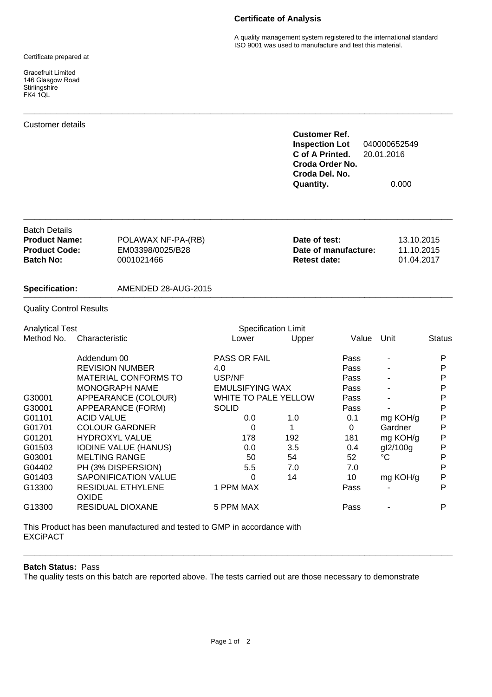## **Certificate of Analysis**

A quality management system registered to the international standard ISO 9001 was used to manufacture and test this material.

Certificate prepared at

Gracefruit Limited 146 Glasgow Road **Stirlingshire** FK4 1QL

## Customer details

| <b>Customer Ref.</b>  |              |  |  |  |
|-----------------------|--------------|--|--|--|
| <b>Inspection Lot</b> | 040000652549 |  |  |  |
| C of A Printed.       | 20.01.2016   |  |  |  |
| Croda Order No.       |              |  |  |  |
| Croda Del. No.        |              |  |  |  |
| <b>Quantity.</b>      | 0.000        |  |  |  |

| <b>Batch Details</b><br><b>Product Name:</b><br><b>Product Code:</b> | POLAWAX NF-PA-(RB)<br>EM03398/0025/B28 | Date of test:<br>Date of manufacture: | 13.10.2015<br>11.10.2015 |
|----------------------------------------------------------------------|----------------------------------------|---------------------------------------|--------------------------|
| Batch No:                                                            | 0001021466                             | <b>Retest date:</b>                   | 01.04.2017               |

**\_\_\_\_\_\_\_\_\_\_\_\_\_\_\_\_\_\_\_\_\_\_\_\_\_\_\_\_\_\_\_\_\_\_\_\_\_\_\_\_\_\_\_\_\_\_\_\_\_\_\_\_\_\_\_\_\_\_\_\_\_\_\_\_\_\_\_\_\_\_\_\_\_\_\_\_\_\_**

**\_\_\_\_\_\_\_\_\_\_\_\_\_\_\_\_\_\_\_\_\_\_\_\_\_\_\_\_\_\_\_\_\_\_\_\_\_\_\_\_\_\_\_\_\_\_\_\_\_\_\_\_\_\_\_\_\_\_\_\_\_\_\_\_\_\_\_\_\_\_\_\_\_\_\_\_\_\_**

#### **Specification:** AMENDED 28-AUG-2015 **\_\_\_\_\_\_\_\_\_\_\_\_\_\_\_\_\_\_\_\_\_\_\_\_\_\_\_\_\_\_\_\_\_\_\_\_\_\_\_\_\_\_\_\_\_\_\_\_\_\_\_\_\_\_\_\_\_\_\_\_\_\_\_\_\_\_\_\_\_\_\_\_\_\_\_\_\_\_**

### Quality Control Results

| <b>Analytical Test</b> |                                          |                        | <b>Specification Limit</b> |          |          |               |
|------------------------|------------------------------------------|------------------------|----------------------------|----------|----------|---------------|
| Method No.             | Characteristic                           | Lower                  | Upper                      | Value    | Unit     | <b>Status</b> |
|                        | Addendum 00                              | <b>PASS OR FAIL</b>    |                            | Pass     |          | Ρ             |
|                        | <b>REVISION NUMBER</b>                   | 4.0                    |                            | Pass     |          | Р             |
|                        | <b>MATERIAL CONFORMS TO</b>              | USP/NF                 |                            | Pass     |          | Р             |
|                        | <b>MONOGRAPH NAME</b>                    | <b>EMULSIFYING WAX</b> |                            | Pass     |          | P             |
| G30001                 | APPEARANCE (COLOUR)                      | WHITE TO PALE YELLOW   |                            | Pass     |          | P             |
| G30001                 | APPEARANCE (FORM)                        | <b>SOLID</b>           |                            | Pass     |          | P             |
| G01101                 | <b>ACID VALUE</b>                        | 0.0                    | 1.0                        | 0.1      | mg KOH/g | P             |
| G01701                 | <b>COLOUR GARDNER</b>                    | 0                      |                            | $\Omega$ | Gardner  | P             |
| G01201                 | <b>HYDROXYL VALUE</b>                    | 178                    | 192                        | 181      | mg KOH/g | P             |
| G01503                 | <b>IODINE VALUE (HANUS)</b>              | 0.0                    | 3.5                        | 0.4      | gl2/100g | P             |
| G03001                 | <b>MELTING RANGE</b>                     | 50                     | 54                         | 52       | °C       | P             |
| G04402                 | PH (3% DISPERSION)                       | 5.5                    | 7.0                        | 7.0      |          | Р             |
| G01403                 | <b>SAPONIFICATION VALUE</b>              | 0                      | 14                         | 10       | mg KOH/g | P             |
| G13300                 | <b>RESIDUAL ETHYLENE</b><br><b>OXIDE</b> | 1 PPM MAX              |                            | Pass     |          | P             |
| G13300                 | <b>RESIDUAL DIOXANE</b>                  | 5 PPM MAX              |                            | Pass     |          | Р             |

This Product has been manufactured and tested to GMP in accordance with EXCiPACT

# **Batch Status:** Pass

The quality tests on this batch are reported above. The tests carried out are those necessary to demonstrate

**\_\_\_\_\_\_\_\_\_\_\_\_\_\_\_\_\_\_\_\_\_\_\_\_\_\_\_\_\_\_\_\_\_\_\_\_\_\_\_\_\_\_\_\_\_\_\_\_\_\_\_\_\_\_\_\_\_\_\_\_\_\_\_\_\_\_\_\_\_\_\_\_\_\_\_\_\_\_**